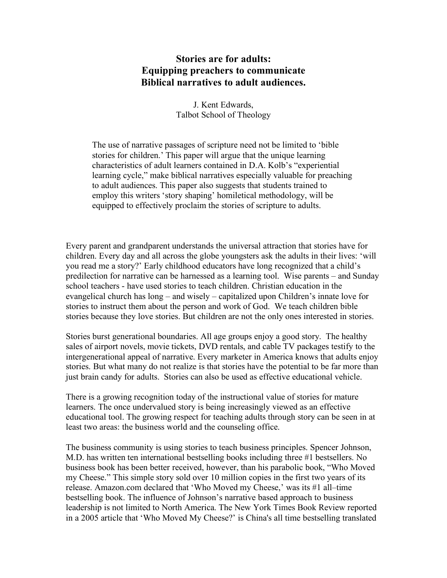# **Stories are for adults: Equipping preachers to communicate Biblical narratives to adult audiences.**

J. Kent Edwards, Talbot School of Theology

The use of narrative passages of scripture need not be limited to 'bible stories for children.' This paper will argue that the unique learning characteristics of adult learners contained in D.A. Kolb's "experiential learning cycle," make biblical narratives especially valuable for preaching to adult audiences. This paper also suggests that students trained to employ this writers 'story shaping' homiletical methodology, will be equipped to effectively proclaim the stories of scripture to adults.

Every parent and grandparent understands the universal attraction that stories have for children. Every day and all across the globe youngsters ask the adults in their lives: 'will you read me a story?' Early childhood educators have long recognized that a child's predilection for narrative can be harnessed as a learning tool. Wise parents – and Sunday school teachers - have used stories to teach children. Christian education in the evangelical church has long – and wisely – capitalized upon Children's innate love for stories to instruct them about the person and work of God. We teach children bible stories because they love stories. But children are not the only ones interested in stories.

Stories burst generational boundaries. All age groups enjoy a good story. The healthy sales of airport novels, movie tickets, DVD rentals, and cable TV packages testify to the intergenerational appeal of narrative. Every marketer in America knows that adults enjoy stories. But what many do not realize is that stories have the potential to be far more than just brain candy for adults. Stories can also be used as effective educational vehicle.

There is a growing recognition today of the instructional value of stories for mature learners. The once undervalued story is being increasingly viewed as an effective educational tool. The growing respect for teaching adults through story can be seen in at least two areas: the business world and the counseling office.

The business community is using stories to teach business principles. Spencer Johnson, M.D. has written ten international bestselling books including three #1 bestsellers. No business book has been better received, however, than his parabolic book, "Who Moved my Cheese." This simple story sold over 10 million copies in the first two years of its release. Amazon.com declared that 'Who Moved my Cheese,' was its #1 all–time bestselling book. The influence of Johnson's narrative based approach to business leadership is not limited to North America. The New York Times Book Review reported in a 2005 article that 'Who Moved My Cheese?' is China's all time bestselling translated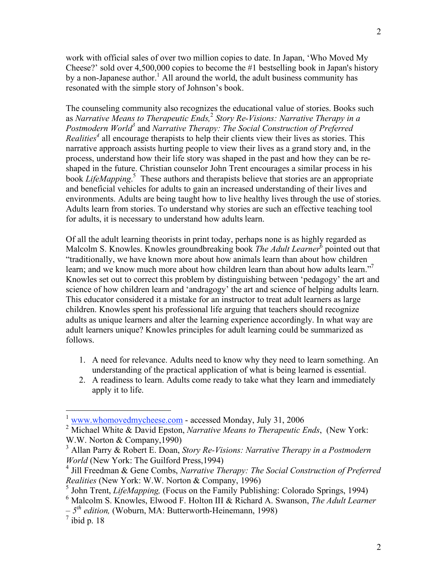work with official sales of over two million copies to date. In Japan, 'Who Moved My Cheese?' sold over 4,500,000 copies to become the #1 bestselling book in Japan's history by a non-Japanese author.<sup>1</sup> All around the world, the adult business community has resonated with the simple story of Johnson's book.

The counseling community also recognizes the educational value of stories. Books such as *Narrative Means to Therapeutic Ends,* <sup>2</sup> *Story Re-Visions: Narrative Therapy in a Postmodern World<sup>3</sup> and Narrative Therapy: The Social Construction of Preferred Realities <sup>4</sup>* all encourage therapists to help their clients view their lives as stories. This narrative approach assists hurting people to view their lives as a grand story and, in the process, understand how their life story was shaped in the past and how they can be reshaped in the future. Christian counselor John Trent encourages a similar process in his book *LifeMapping*. <sup>5</sup> These authors and therapists believe that stories are an appropriate and beneficial vehicles for adults to gain an increased understanding of their lives and environments. Adults are being taught how to live healthy lives through the use of stories. Adults learn from stories. To understand why stories are such an effective teaching tool for adults, it is necessary to understand how adults learn.

Of all the adult learning theorists in print today, perhaps none is as highly regarded as Malcolm S. Knowles. Knowles groundbreaking book *The Adult Learner* <sup>6</sup> pointed out that "traditionally, we have known more about how animals learn than about how children learn; and we know much more about how children learn than about how adults learn."<sup>7</sup> Knowles set out to correct this problem by distinguishing between 'pedagogy' the art and science of how children learn and 'andragogy' the art and science of helping adults learn. This educator considered it a mistake for an instructor to treat adult learners as large children. Knowles spent his professional life arguing that teachers should recognize adults as unique learners and alter the learning experience accordingly. In what way are adult learners unique? Knowles principles for adult learning could be summarized as follows.

- 1. A need for relevance. Adults need to know why they need to learn something. An understanding of the practical application of what is being learned is essential.
- 2. A readiness to learn. Adults come ready to take what they learn and immediately apply it to life.

 $\frac{1}{1}$ www.whomovedmycheese.com - accessed Monday, July 31, 2006

<sup>2</sup> Michael White & David Epston, *Narrative Means to Therapeutic Ends*, (New York: W.W. Norton & Company,1990)

<sup>3</sup> Allan Parry & Robert E. Doan, *Story Re-Visions: Narrative Therapy in a Postmodern World* (New York: The Guilford Press,1994)

<sup>4</sup> Jill Freedman & Gene Combs, *Narrative Therapy: The Social Construction of Preferred Realities* (New York: W.W. Norton & Company, 1996)

<sup>5</sup> John Trent, *LifeMapping,* (Focus on the Family Publishing: Colorado Springs, 1994)

<sup>6</sup> Malcolm S. Knowles, Elwood F. Holton III & Richard A. Swanson, *The Adult Learner*

*<sup>–</sup> 5th edition,* (Woburn, MA: Butterworth-Heinemann, 1998)

 $\frac{7}{1}$ ibid p. 18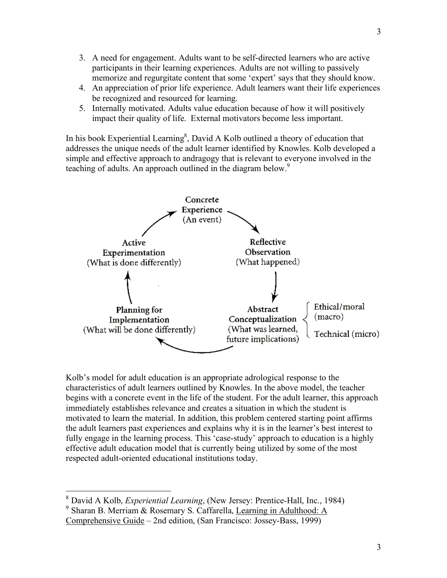- 3. A need for engagement. Adults want to be self-directed learners who are active participants in their learning experiences. Adults are not willing to passively memorize and regurgitate content that some 'expert' says that they should know.
- 4. An appreciation of prior life experience. Adult learners want their life experiences be recognized and resourced for learning.
- 5. Internally motivated. Adults value education because of how it will positively impact their quality of life. External motivators become less important.

In his book Experiential Learning<sup>8</sup>, David A Kolb outlined a theory of education that addresses the unique needs of the adult learner identified by Knowles. Kolb developed a simple and effective approach to andragogy that is relevant to everyone involved in the teaching of adults. An approach outlined in the diagram below. 9



Kolb's model for adult education is an appropriate adrological response to the characteristics of adult learners outlined by Knowles. In the above model, the teacher begins with a concrete event in the life of the student. For the adult learner, this approach immediately establishes relevance and creates a situation in which the student is motivated to learn the material. In addition, this problem centered starting point affirms the adult learners past experiences and explains why it is in the learner's best interest to fully engage in the learning process. This 'case-study' approach to education is a highly effective adult education model that is currently being utilized by some of the most respected adult-oriented educational institutions today.

 <sup>8</sup> David A Kolb, *Experiential Learning*, (New Jersey: Prentice-Hall, Inc., 1984)

<sup>9</sup> Sharan B. Merriam & Rosemary S. Caffarella, Learning in Adulthood: A Comprehensive Guide – 2nd edition, (San Francisco: Jossey-Bass, 1999)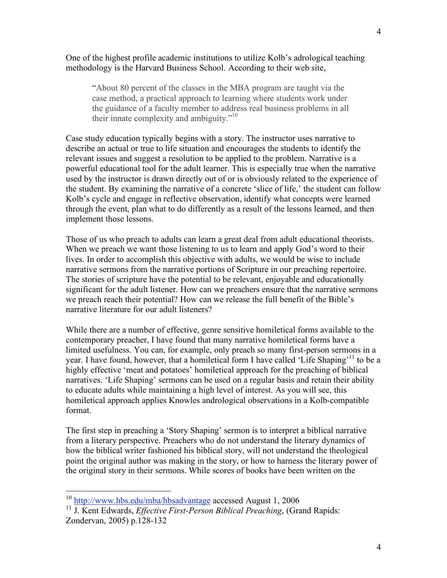One of the highest profile academic institutions to utilize Kolb's adrological teaching methodology is the Harvard Business School. According to their web site,

"About 80 percent of the classes in the MBA program are taught via the case method, a practical approach to learning where students work under the guidance of a faculty member to address real business problems in all their innate complexity and ambiguity."<sup>10</sup>

Case study education typically begins with a story. The instructor uses narrative to describe an actual or true to life situation and encourages the students to identify the relevant issues and suggest a resolution to be applied to the problem. Narrative is a powerful educational tool for the adult learner. This is especially true when the narrative used by the instructor is drawn directly out of or is obviously related to the experience of the student. By examining the narrative of a concrete 'slice of life,' the student can follow Kolb's cycle and engage in reflective observation, identify what concepts were learned through the event, plan what to do differently as a result of the lessons learned, and then implement those lessons.

Those of us who preach to adults can learn a great deal from adult educational theorists. When we preach we want those listening to us to learn and apply God's word to their lives. In order to accomplish this objective with adults, we would be wise to include narrative sermons from the narrative portions of Scripture in our preaching repertoire. The stories of scripture have the potential to be relevant, enjoyable and educationally significant for the adult listener. How can we preachers ensure that the narrative sermons we preach reach their potential? How can we release the full benefit of the Bible's narrative literature for our adult listeners?

While there are a number of effective, genre sensitive homiletical forms available to the contemporary preacher, I have found that many narrative homiletical forms have a limited usefulness. You can, for example, only preach so many first-person sermons in a year. I have found, however, that a homiletical form I have called 'Life Shaping'<sup>11</sup> to be a highly effective 'meat and potatoes' homiletical approach for the preaching of biblical narratives. 'Life Shaping' sermons can be used on a regular basis and retain their ability to educate adults while maintaining a high level of interest. As you will see, this homiletical approach applies Knowles andrological observations in a Kolb-compatible format.

The first step in preaching a 'Story Shaping' sermon is to interpret a biblical narrative from a literary perspective. Preachers who do not understand the literary dynamics of how the biblical writer fashioned his biblical story, will not understand the theological point the original author was making in the story, or how to harness the literary power of the original story in their sermons. While scores of books have been written on the

 <sup>10</sup> http://www.hbs.edu/mba/hbsadvantage accessed August 1, <sup>2006</sup>

<sup>11</sup> J. Kent Edwards, *Effective First-Person Biblical Preaching*, (Grand Rapids: Zondervan, 2005) p.128-132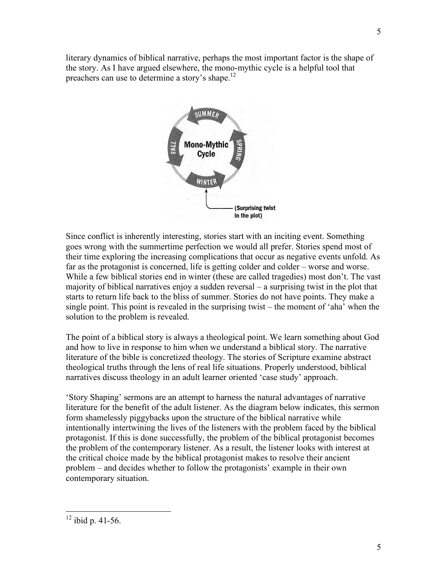literary dynamics of biblical narrative, perhaps the most important factor is the shape of the story. As I have argued elsewhere, the mono-mythic cycle is a helpful tool that preachers can use to determine a story's shape.<sup>12</sup>



Since conflict is inherently interesting, stories start with an inciting event. Something goes wrong with the summertime perfection we would all prefer. Stories spend most of their time exploring the increasing complications that occur as negative events unfold. As far as the protagonist is concerned, life is getting colder and colder – worse and worse. While a few biblical stories end in winter (these are called tragedies) most don't. The vast majority of biblical narratives enjoy a sudden reversal – a surprising twist in the plot that starts to return life back to the bliss of summer. Stories do not have points. They make a single point. This point is revealed in the surprising twist – the moment of 'aha' when the solution to the problem is revealed.

The point of a biblical story is always a theological point. We learn something about God and how to live in response to him when we understand a biblical story. The narrative literature of the bible is concretized theology. The stories of Scripture examine abstract theological truths through the lens of real life situations. Properly understood, biblical narratives discuss theology in an adult learner oriented 'case study' approach.

'Story Shaping' sermons are an attempt to harness the natural advantages of narrative literature for the benefit of the adult listener. As the diagram below indicates, this sermon form shamelessly piggybacks upon the structure of the biblical narrative while intentionally intertwining the lives of the listeners with the problem faced by the biblical protagonist. If this is done successfully, the problem of the biblical protagonist becomes the problem of the contemporary listener. As a result, the listener looks with interest at the critical choice made by the biblical protagonist makes to resolve their ancient problem – and decides whether to follow the protagonists' example in their own contemporary situation.

 <sup>12</sup> ibid p. 41-56.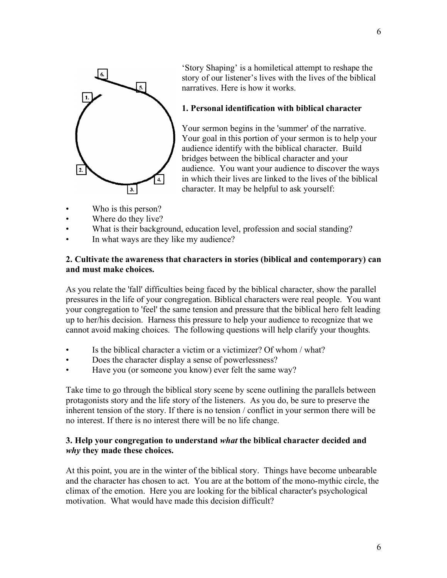

'Story Shaping' is a homiletical attempt to reshape the story of our listener's lives with the lives of the biblical narratives. Here is how it works.

### **1. Personal identification with biblical character**

Your sermon begins in the 'summer' of the narrative. Your goal in this portion of your sermon is to help your audience identify with the biblical character. Build bridges between the biblical character and your audience. You want your audience to discover the ways in which their lives are linked to the lives of the biblical character. It may be helpful to ask yourself:

- Who is this person?
- Where do they live?
- What is their background, education level, profession and social standing?
- In what ways are they like my audience?

#### **2. Cultivate the awareness that characters in stories (biblical and contemporary) can and must make choices.**

As you relate the 'fall' difficulties being faced by the biblical character, show the parallel pressures in the life of your congregation. Biblical characters were real people. You want your congregation to 'feel' the same tension and pressure that the biblical hero felt leading up to her/his decision. Harness this pressure to help your audience to recognize that we cannot avoid making choices. The following questions will help clarify your thoughts.

- Is the biblical character a victim or a victimizer? Of whom / what?
- Does the character display a sense of powerlessness?
- Have you (or someone you know) ever felt the same way?

Take time to go through the biblical story scene by scene outlining the parallels between protagonists story and the life story of the listeners. As you do, be sure to preserve the inherent tension of the story. If there is no tension / conflict in your sermon there will be no interest. If there is no interest there will be no life change.

#### **3. Help your congregation to understand** *what* **the biblical character decided and** *why* **they made these choices.**

At this point, you are in the winter of the biblical story. Things have become unbearable and the character has chosen to act. You are at the bottom of the mono-mythic circle, the climax of the emotion. Here you are looking for the biblical character's psychological motivation. What would have made this decision difficult?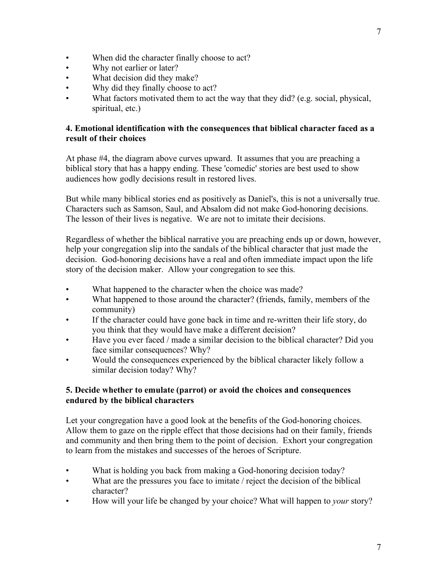- When did the character finally choose to act?
- Why not earlier or later?
- What decision did they make?
- Why did they finally choose to act?
- What factors motivated them to act the way that they did? (e.g. social, physical, spiritual, etc.)

### **4. Emotional identification with the consequences that biblical character faced as a result of their choices**

At phase #4, the diagram above curves upward. It assumes that you are preaching a biblical story that has a happy ending. These 'comedic' stories are best used to show audiences how godly decisions result in restored lives.

But while many biblical stories end as positively as Daniel's, this is not a universally true. Characters such as Samson, Saul, and Absalom did not make God-honoring decisions. The lesson of their lives is negative. We are not to imitate their decisions.

Regardless of whether the biblical narrative you are preaching ends up or down, however, help your congregation slip into the sandals of the biblical character that just made the decision. God-honoring decisions have a real and often immediate impact upon the life story of the decision maker. Allow your congregation to see this.

- What happened to the character when the choice was made?
- What happened to those around the character? (friends, family, members of the community)
- If the character could have gone back in time and re-written their life story, do you think that they would have make a different decision?
- Have you ever faced / made a similar decision to the biblical character? Did you face similar consequences? Why?
- Would the consequences experienced by the biblical character likely follow a similar decision today? Why?

## **5. Decide whether to emulate (parrot) or avoid the choices and consequences endured by the biblical characters**

Let your congregation have a good look at the benefits of the God-honoring choices. Allow them to gaze on the ripple effect that those decisions had on their family, friends and community and then bring them to the point of decision. Exhort your congregation to learn from the mistakes and successes of the heroes of Scripture.

- What is holding you back from making a God-honoring decision today?
- What are the pressures you face to imitate / reject the decision of the biblical character?
- How will your life be changed by your choice? What will happen to *your* story?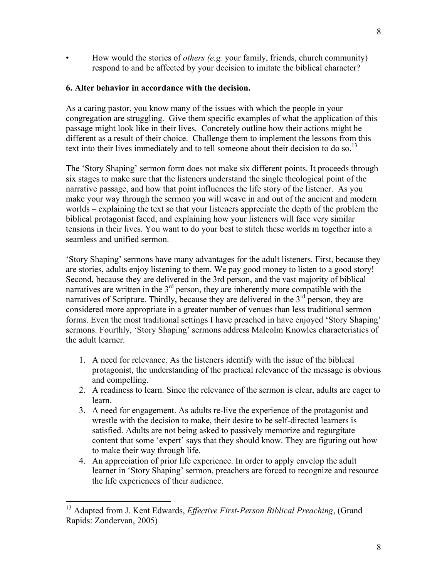• How would the stories of *others (e.g.* your family, friends, church community) respond to and be affected by your decision to imitate the biblical character?

#### **6. Alter behavior in accordance with the decision.**

As a caring pastor, you know many of the issues with which the people in your congregation are struggling. Give them specific examples of what the application of this passage might look like in their lives. Concretely outline how their actions might he different as a result of their choice. Challenge them to implement the lessons from this text into their lives immediately and to tell someone about their decision to do so.<sup>13</sup>

The 'Story Shaping' sermon form does not make six different points. It proceeds through six stages to make sure that the listeners understand the single theological point of the narrative passage, and how that point influences the life story of the listener. As you make your way through the sermon you will weave in and out of the ancient and modern worlds – explaining the text so that your listeners appreciate the depth of the problem the biblical protagonist faced, and explaining how your listeners will face very similar tensions in their lives. You want to do your best to stitch these worlds m together into a seamless and unified sermon.

'Story Shaping' sermons have many advantages for the adult listeners. First, because they are stories, adults enjoy listening to them. We pay good money to listen to a good story! Second, because they are delivered in the 3rd person, and the vast majority of biblical narratives are written in the  $3<sup>rd</sup>$  person, they are inherently more compatible with the narratives of Scripture. Thirdly, because they are delivered in the 3<sup>rd</sup> person, they are considered more appropriate in a greater number of venues than less traditional sermon forms. Even the most traditional settings I have preached in have enjoyed 'Story Shaping' sermons. Fourthly, 'Story Shaping' sermons address Malcolm Knowles characteristics of the adult learner.

- 1. A need for relevance. As the listeners identify with the issue of the biblical protagonist, the understanding of the practical relevance of the message is obvious and compelling.
- 2. A readiness to learn. Since the relevance of the sermon is clear, adults are eager to learn.
- 3. A need for engagement. As adults re-live the experience of the protagonist and wrestle with the decision to make, their desire to be self-directed learners is satisfied. Adults are not being asked to passively memorize and regurgitate content that some 'expert' says that they should know. They are figuring out how to make their way through life.
- 4. An appreciation of prior life experience. In order to apply envelop the adult learner in 'Story Shaping' sermon, preachers are forced to recognize and resource the life experiences of their audience.

 <sup>13</sup> Adapted from J. Kent Edwards, *Effective First-Person Biblical Preaching*, (Grand Rapids: Zondervan, 2005)